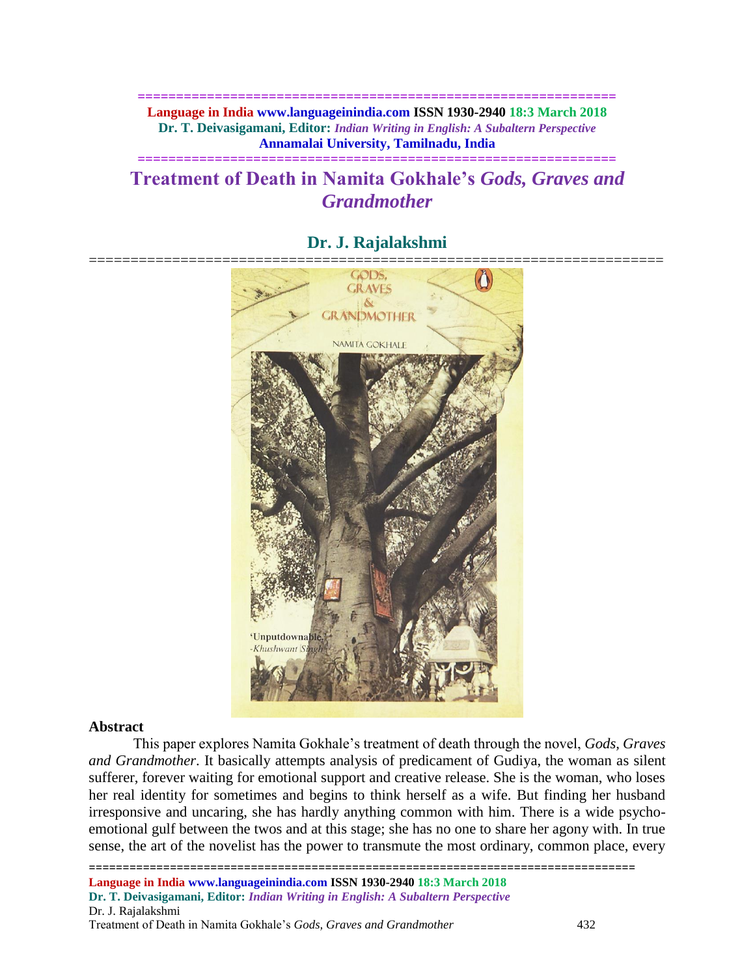**============================================================== Language in India www.languageinindia.com ISSN 1930-2940 18:3 March 2018 Dr. T. Deivasigamani, Editor:** *Indian Writing in English: A Subaltern Perspective* **Annamalai University, Tamilnadu, India**

**==============================================================**

# **Treatment of Death in Namita Gokhale's** *Gods, Graves and Grandmother*



## **Dr. J. Rajalakshmi**

#### **Abstract**

This paper explores Namita Gokhale's treatment of death through the novel, *Gods, Graves and Grandmother*. It basically attempts analysis of predicament of Gudiya, the woman as silent sufferer, forever waiting for emotional support and creative release. She is the woman, who loses her real identity for sometimes and begins to think herself as a wife. But finding her husband irresponsive and uncaring, she has hardly anything common with him. There is a wide psychoemotional gulf between the twos and at this stage; she has no one to share her agony with. In true sense, the art of the novelist has the power to transmute the most ordinary, common place, every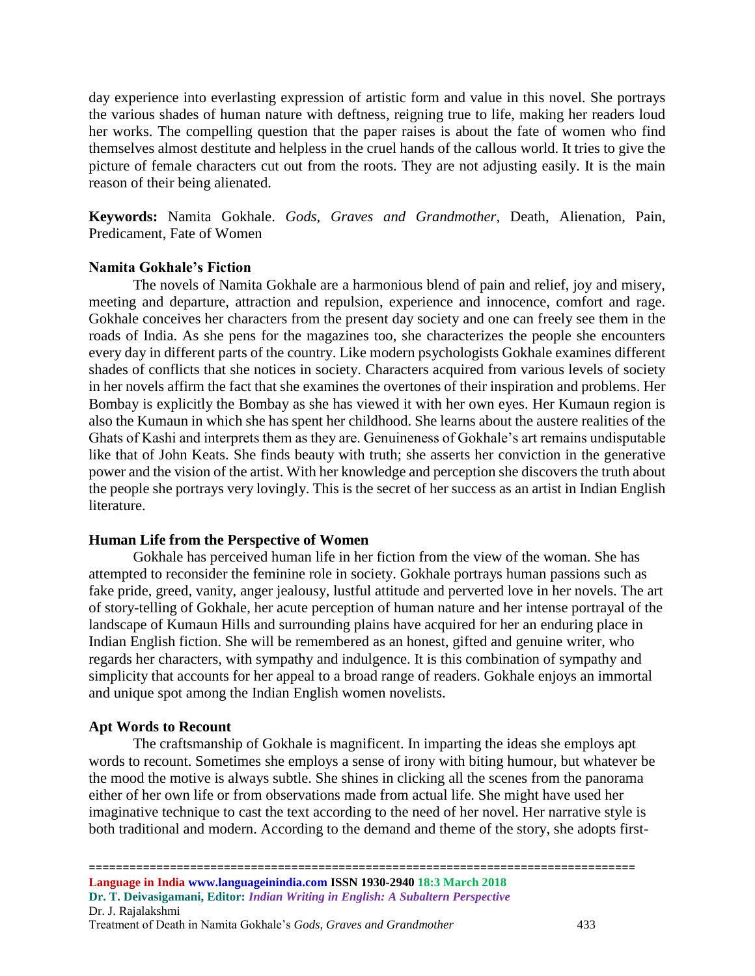day experience into everlasting expression of artistic form and value in this novel. She portrays the various shades of human nature with deftness, reigning true to life, making her readers loud her works. The compelling question that the paper raises is about the fate of women who find themselves almost destitute and helpless in the cruel hands of the callous world. It tries to give the picture of female characters cut out from the roots. They are not adjusting easily. It is the main reason of their being alienated.

**Keywords:** Namita Gokhale. *Gods, Graves and Grandmother,* Death, Alienation, Pain, Predicament, Fate of Women

#### **Namita Gokhale's Fiction**

The novels of Namita Gokhale are a harmonious blend of pain and relief, joy and misery, meeting and departure, attraction and repulsion, experience and innocence, comfort and rage. Gokhale conceives her characters from the present day society and one can freely see them in the roads of India. As she pens for the magazines too, she characterizes the people she encounters every day in different parts of the country. Like modern psychologists Gokhale examines different shades of conflicts that she notices in society. Characters acquired from various levels of society in her novels affirm the fact that she examines the overtones of their inspiration and problems. Her Bombay is explicitly the Bombay as she has viewed it with her own eyes. Her Kumaun region is also the Kumaun in which she has spent her childhood. She learns about the austere realities of the Ghats of Kashi and interprets them as they are. Genuineness of Gokhale's art remains undisputable like that of John Keats. She finds beauty with truth; she asserts her conviction in the generative power and the vision of the artist. With her knowledge and perception she discovers the truth about the people she portrays very lovingly. This is the secret of her success as an artist in Indian English literature.

### **Human Life from the Perspective of Women**

Gokhale has perceived human life in her fiction from the view of the woman. She has attempted to reconsider the feminine role in society. Gokhale portrays human passions such as fake pride, greed, vanity, anger jealousy, lustful attitude and perverted love in her novels. The art of story-telling of Gokhale, her acute perception of human nature and her intense portrayal of the landscape of Kumaun Hills and surrounding plains have acquired for her an enduring place in Indian English fiction. She will be remembered as an honest, gifted and genuine writer, who regards her characters, with sympathy and indulgence. It is this combination of sympathy and simplicity that accounts for her appeal to a broad range of readers. Gokhale enjoys an immortal and unique spot among the Indian English women novelists.

### **Apt Words to Recount**

The craftsmanship of Gokhale is magnificent. In imparting the ideas she employs apt words to recount. Sometimes she employs a sense of irony with biting humour, but whatever be the mood the motive is always subtle. She shines in clicking all the scenes from the panorama either of her own life or from observations made from actual life. She might have used her imaginative technique to cast the text according to the need of her novel. Her narrative style is both traditional and modern. According to the demand and theme of the story, she adopts first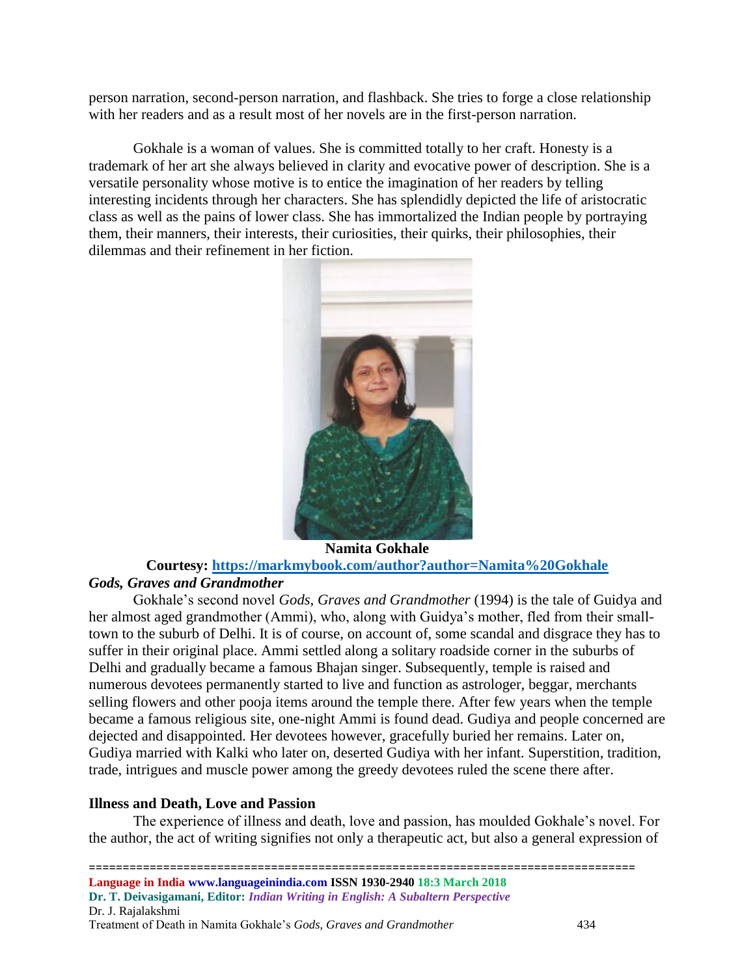person narration, second-person narration, and flashback. She tries to forge a close relationship with her readers and as a result most of her novels are in the first-person narration.

Gokhale is a woman of values. She is committed totally to her craft. Honesty is a trademark of her art she always believed in clarity and evocative power of description. She is a versatile personality whose motive is to entice the imagination of her readers by telling interesting incidents through her characters. She has splendidly depicted the life of aristocratic class as well as the pains of lower class. She has immortalized the Indian people by portraying them, their manners, their interests, their curiosities, their quirks, their philosophies, their dilemmas and their refinement in her fiction.



**Namita Gokhale Courtesy:<https://markmybook.com/author?author=Namita%20Gokhale>**

## *Gods, Graves and Grandmother*

Gokhale's second novel *Gods, Graves and Grandmother* (1994) is the tale of Guidya and her almost aged grandmother (Ammi), who, along with Guidya's mother, fled from their smalltown to the suburb of Delhi. It is of course, on account of, some scandal and disgrace they has to suffer in their original place. Ammi settled along a solitary roadside corner in the suburbs of Delhi and gradually became a famous Bhajan singer. Subsequently, temple is raised and numerous devotees permanently started to live and function as astrologer, beggar, merchants selling flowers and other pooja items around the temple there. After few years when the temple became a famous religious site, one-night Ammi is found dead. Gudiya and people concerned are dejected and disappointed. Her devotees however, gracefully buried her remains. Later on, Gudiya married with Kalki who later on, deserted Gudiya with her infant. Superstition, tradition, trade, intrigues and muscle power among the greedy devotees ruled the scene there after.

## **Illness and Death, Love and Passion**

The experience of illness and death, love and passion, has moulded Gokhale's novel. For the author, the act of writing signifies not only a therapeutic act, but also a general expression of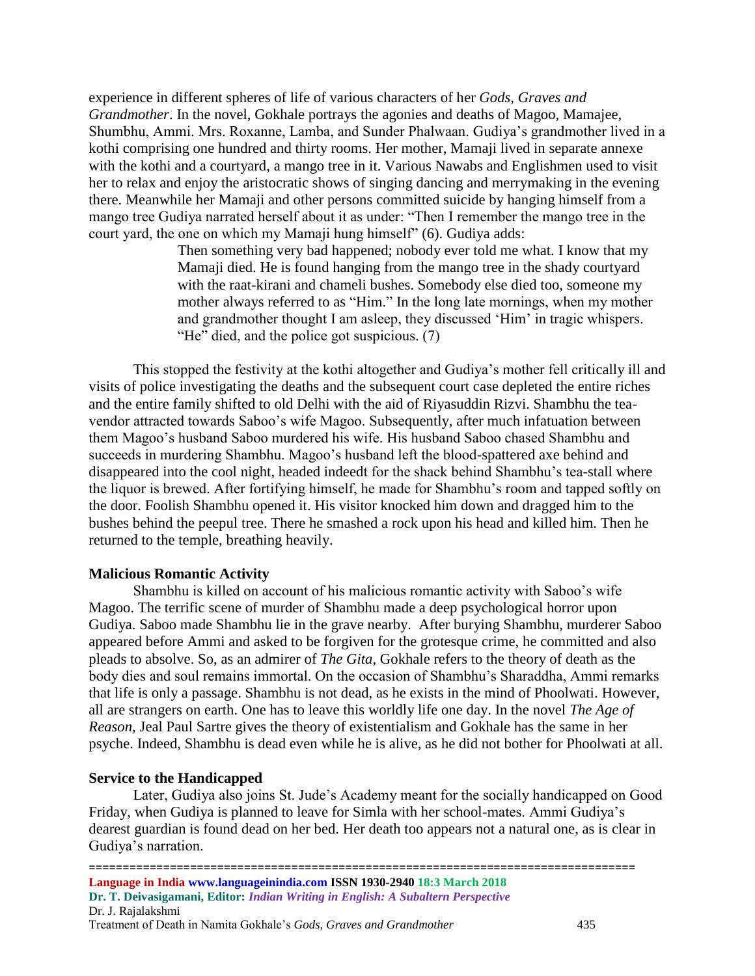experience in different spheres of life of various characters of her *Gods, Graves and Grandmother*. In the novel, Gokhale portrays the agonies and deaths of Magoo, Mamajee, Shumbhu, Ammi. Mrs. Roxanne, Lamba, and Sunder Phalwaan. Gudiya's grandmother lived in a kothi comprising one hundred and thirty rooms. Her mother, Mamaji lived in separate annexe with the kothi and a courtyard, a mango tree in it. Various Nawabs and Englishmen used to visit her to relax and enjoy the aristocratic shows of singing dancing and merrymaking in the evening there. Meanwhile her Mamaji and other persons committed suicide by hanging himself from a mango tree Gudiya narrated herself about it as under: "Then I remember the mango tree in the court yard, the one on which my Mamaji hung himself" (6). Gudiya adds:

> Then something very bad happened; nobody ever told me what. I know that my Mamaji died. He is found hanging from the mango tree in the shady courtyard with the raat-kirani and chameli bushes. Somebody else died too, someone my mother always referred to as "Him." In the long late mornings, when my mother and grandmother thought I am asleep, they discussed 'Him' in tragic whispers. "He" died, and the police got suspicious. (7)

This stopped the festivity at the kothi altogether and Gudiya's mother fell critically ill and visits of police investigating the deaths and the subsequent court case depleted the entire riches and the entire family shifted to old Delhi with the aid of Riyasuddin Rizvi. Shambhu the teavendor attracted towards Saboo's wife Magoo. Subsequently, after much infatuation between them Magoo's husband Saboo murdered his wife. His husband Saboo chased Shambhu and succeeds in murdering Shambhu. Magoo's husband left the blood-spattered axe behind and disappeared into the cool night, headed indeedt for the shack behind Shambhu's tea-stall where the liquor is brewed. After fortifying himself, he made for Shambhu's room and tapped softly on the door. Foolish Shambhu opened it. His visitor knocked him down and dragged him to the bushes behind the peepul tree. There he smashed a rock upon his head and killed him. Then he returned to the temple, breathing heavily.

#### **Malicious Romantic Activity**

Shambhu is killed on account of his malicious romantic activity with Saboo's wife Magoo. The terrific scene of murder of Shambhu made a deep psychological horror upon Gudiya. Saboo made Shambhu lie in the grave nearby. After burying Shambhu, murderer Saboo appeared before Ammi and asked to be forgiven for the grotesque crime, he committed and also pleads to absolve. So, as an admirer of *The Gita*, Gokhale refers to the theory of death as the body dies and soul remains immortal. On the occasion of Shambhu's Sharaddha, Ammi remarks that life is only a passage. Shambhu is not dead, as he exists in the mind of Phoolwati. However, all are strangers on earth. One has to leave this worldly life one day. In the novel *The Age of Reason,* Jeal Paul Sartre gives the theory of existentialism and Gokhale has the same in her psyche. Indeed, Shambhu is dead even while he is alive, as he did not bother for Phoolwati at all.

#### **Service to the Handicapped**

Later, Gudiya also joins St. Jude's Academy meant for the socially handicapped on Good Friday, when Gudiya is planned to leave for Simla with her school-mates. Ammi Gudiya's dearest guardian is found dead on her bed. Her death too appears not a natural one, as is clear in Gudiya's narration.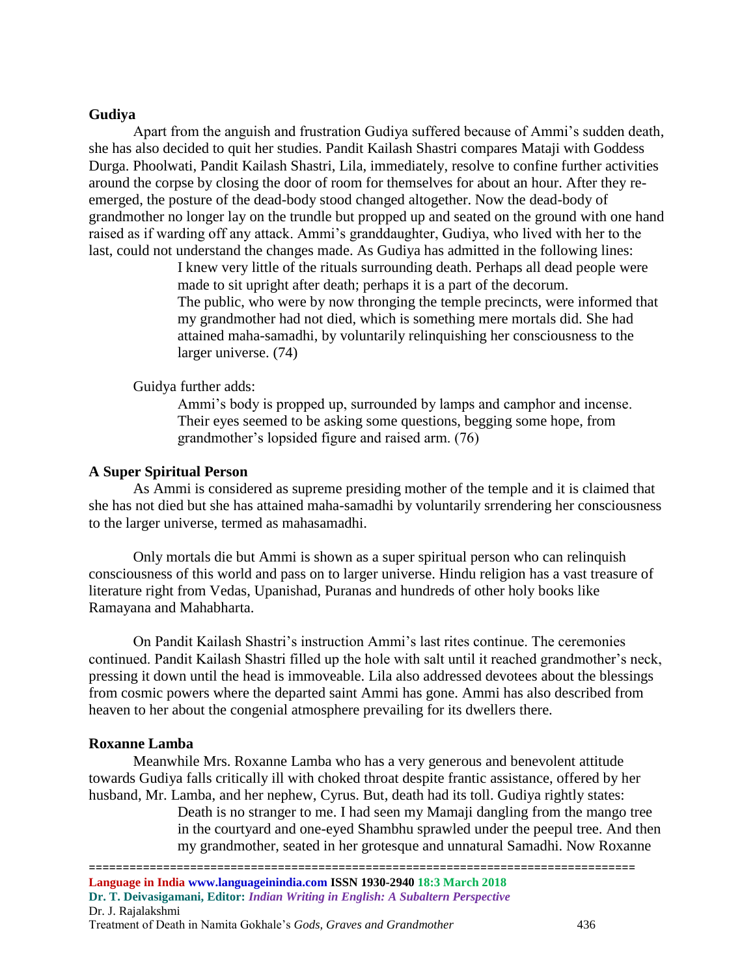#### **Gudiya**

Apart from the anguish and frustration Gudiya suffered because of Ammi's sudden death, she has also decided to quit her studies. Pandit Kailash Shastri compares Mataji with Goddess Durga. Phoolwati, Pandit Kailash Shastri, Lila, immediately, resolve to confine further activities around the corpse by closing the door of room for themselves for about an hour. After they reemerged, the posture of the dead-body stood changed altogether. Now the dead-body of grandmother no longer lay on the trundle but propped up and seated on the ground with one hand raised as if warding off any attack. Ammi's granddaughter, Gudiya, who lived with her to the last, could not understand the changes made. As Gudiya has admitted in the following lines:

> I knew very little of the rituals surrounding death. Perhaps all dead people were made to sit upright after death; perhaps it is a part of the decorum. The public, who were by now thronging the temple precincts, were informed that my grandmother had not died, which is something mere mortals did. She had attained maha-samadhi, by voluntarily relinquishing her consciousness to the larger universe. (74)

Guidya further adds:

Ammi's body is propped up, surrounded by lamps and camphor and incense. Their eyes seemed to be asking some questions, begging some hope, from grandmother's lopsided figure and raised arm. (76)

#### **A Super Spiritual Person**

As Ammi is considered as supreme presiding mother of the temple and it is claimed that she has not died but she has attained maha-samadhi by voluntarily srrendering her consciousness to the larger universe, termed as mahasamadhi.

Only mortals die but Ammi is shown as a super spiritual person who can relinquish consciousness of this world and pass on to larger universe. Hindu religion has a vast treasure of literature right from Vedas, Upanishad, Puranas and hundreds of other holy books like Ramayana and Mahabharta.

On Pandit Kailash Shastri's instruction Ammi's last rites continue. The ceremonies continued. Pandit Kailash Shastri filled up the hole with salt until it reached grandmother's neck, pressing it down until the head is immoveable. Lila also addressed devotees about the blessings from cosmic powers where the departed saint Ammi has gone. Ammi has also described from heaven to her about the congenial atmosphere prevailing for its dwellers there.

#### **Roxanne Lamba**

Meanwhile Mrs. Roxanne Lamba who has a very generous and benevolent attitude towards Gudiya falls critically ill with choked throat despite frantic assistance, offered by her husband, Mr. Lamba, and her nephew, Cyrus. But, death had its toll. Gudiya rightly states:

> Death is no stranger to me. I had seen my Mamaji dangling from the mango tree in the courtyard and one-eyed Shambhu sprawled under the peepul tree. And then my grandmother, seated in her grotesque and unnatural Samadhi. Now Roxanne